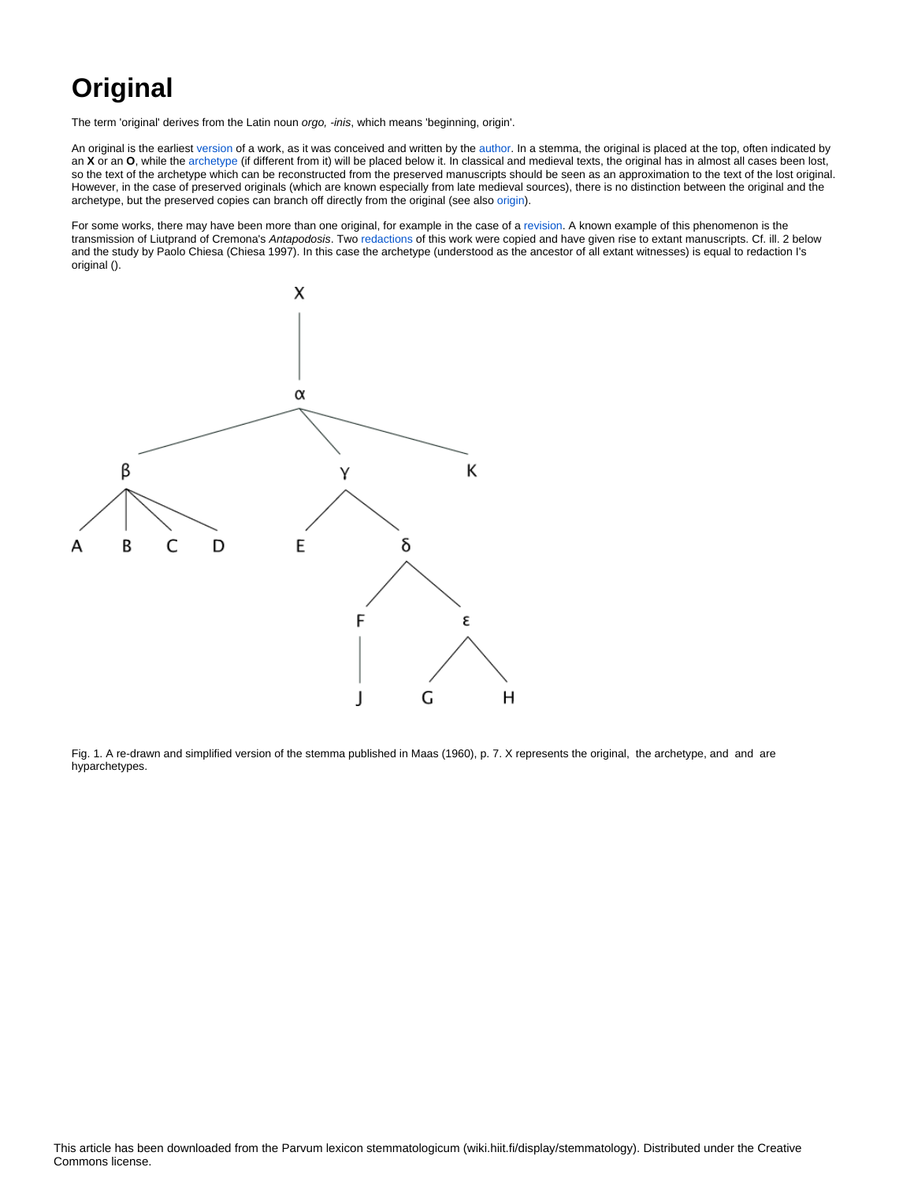## **Original**

The term 'original' derives from the Latin noun orgo, -inis, which means 'beginning, origin'.

An original is the earliest [version](https://wiki.helsinki.fi/display/stemmatology/Version) of a work, as it was conceived and written by the [author](https://wiki.helsinki.fi/display/stemmatology/Author). In a stemma, the original is placed at the top, often indicated by an **X** or an **O**, while the [archetype](https://wiki.helsinki.fi/display/stemmatology/Archetype) (if different from it) will be placed below it. In classical and medieval texts, the original has in almost all cases been lost, so the text of the archetype which can be reconstructed from the preserved manuscripts should be seen as an approximation to the text of the lost original. However, in the case of preserved originals (which are known especially from late medieval sources), there is no distinction between the original and the archetype, but the preserved copies can branch off directly from the original (see also [origin](https://wiki.helsinki.fi/display/stemmatology/Origin)).

For some works, there may have been more than one original, for example in the case of a [revision.](https://wiki.helsinki.fi/display/stemmatology/Revision) A known example of this phenomenon is the transmission of Liutprand of Cremona's Antapodosis. Two [redactions](https://wiki.helsinki.fi/display/stemmatology/Redaction) of this work were copied and have given rise to extant manuscripts. Cf. ill. 2 below and the study by Paolo Chiesa (Chiesa 1997). In this case the archetype (understood as the ancestor of all extant witnesses) is equal to redaction I's original ().



Fig. 1. A re-drawn and simplified version of the stemma published in Maas (1960), p. 7. X represents the original, the archetype, and and are hyparchetypes.